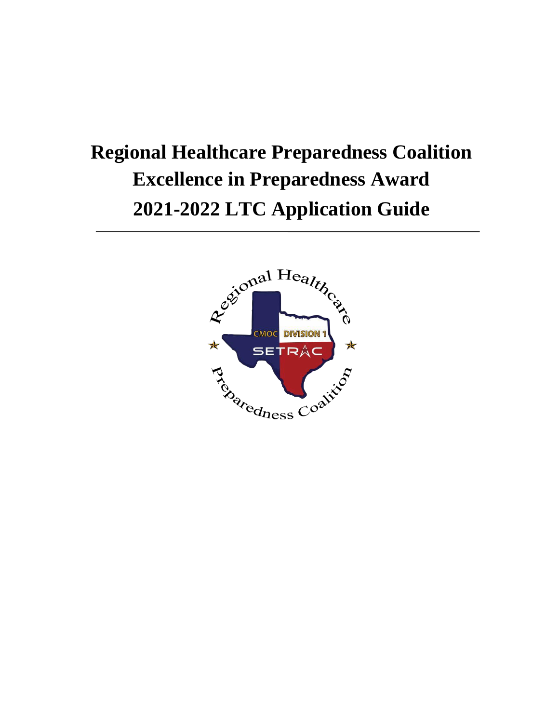# **Regional Healthcare Preparedness Coalition Excellence in Preparedness Award 2021-2022 LTC Application Guide**

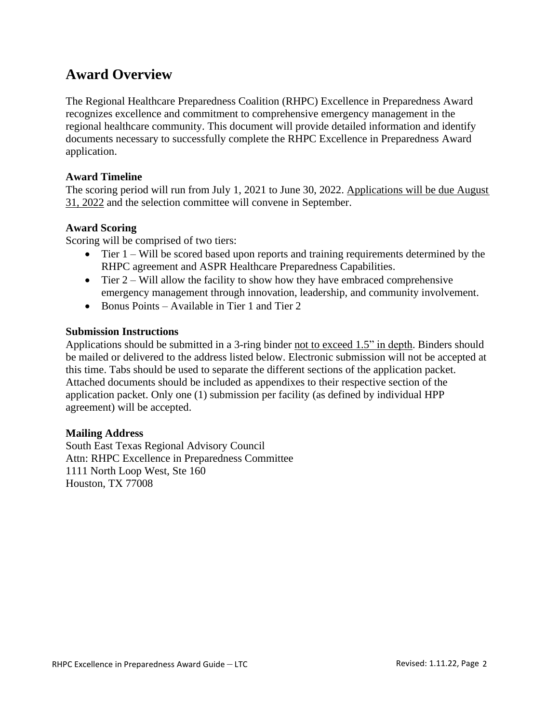## **Award Overview**

The Regional Healthcare Preparedness Coalition (RHPC) Excellence in Preparedness Award recognizes excellence and commitment to comprehensive emergency management in the regional healthcare community. This document will provide detailed information and identify documents necessary to successfully complete the RHPC Excellence in Preparedness Award application.

### **Award Timeline**

The scoring period will run from July 1, 2021 to June 30, 2022. Applications will be due August 31, 2022 and the selection committee will convene in September.

### **Award Scoring**

Scoring will be comprised of two tiers:

- Tier 1 Will be scored based upon reports and training requirements determined by the RHPC agreement and ASPR Healthcare Preparedness Capabilities.
- Tier  $2 Will$  allow the facility to show how they have embraced comprehensive emergency management through innovation, leadership, and community involvement.
- Bonus Points Available in Tier 1 and Tier 2

### **Submission Instructions**

Applications should be submitted in a 3-ring binder not to exceed 1.5" in depth. Binders should be mailed or delivered to the address listed below. Electronic submission will not be accepted at this time. Tabs should be used to separate the different sections of the application packet. Attached documents should be included as appendixes to their respective section of the application packet. Only one (1) submission per facility (as defined by individual HPP agreement) will be accepted.

### **Mailing Address**

South East Texas Regional Advisory Council Attn: RHPC Excellence in Preparedness Committee 1111 North Loop West, Ste 160 Houston, TX 77008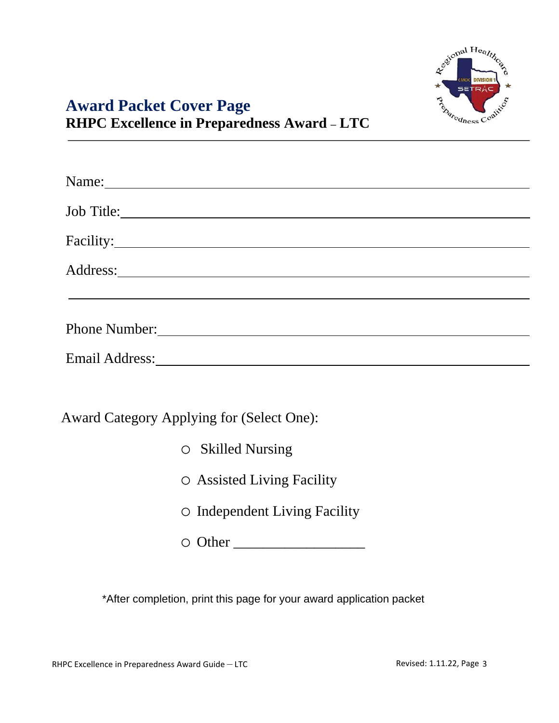

# **Award Packet Cover Page RHPC Excellence in Preparedness Award – LTC**

| Name: Name:                                                                                                                                                                                                                         |
|-------------------------------------------------------------------------------------------------------------------------------------------------------------------------------------------------------------------------------------|
| Job Title:                                                                                                                                                                                                                          |
| Facility:                                                                                                                                                                                                                           |
| Address: <u>Address</u> and the second second second second second second second second second second second second second second second second second second second second second second second second second second second second |
|                                                                                                                                                                                                                                     |
|                                                                                                                                                                                                                                     |
| Email Address: No. 1996. The Contract of the Contract of the Contract of the Contract of the Contract of the Contract of the Contract of the Contract of the Contract of the Contract of the Contract of the Contract of the C      |
|                                                                                                                                                                                                                                     |
| <b>Award Category Applying for (Select One):</b>                                                                                                                                                                                    |
| $\circ$ Skilled Nursing                                                                                                                                                                                                             |
| $\circ$ Assisted Living Facility                                                                                                                                                                                                    |
| $\circ$ Independent Living Facility                                                                                                                                                                                                 |
|                                                                                                                                                                                                                                     |

\*After completion, print this page for your award application packet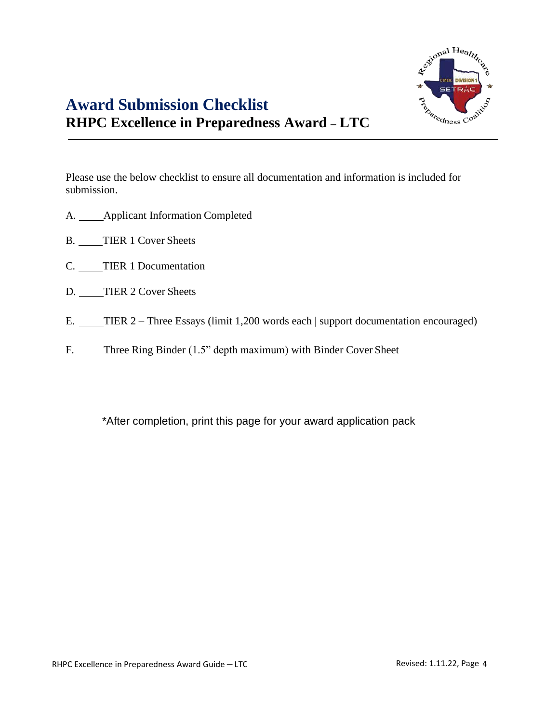

Please use the below checklist to ensure all documentation and information is included for submission.

- A. \_\_\_\_Applicant Information Completed
- B. TIER 1 Cover Sheets
- C. TIER 1 Documentation
- D. TIER 2 Cover Sheets
- E. TIER 2 Three Essays (limit 1,200 words each | support documentation encouraged)
- F. \_\_\_\_Three Ring Binder (1.5" depth maximum) with Binder Cover Sheet

\*After completion, print this page for your award application pack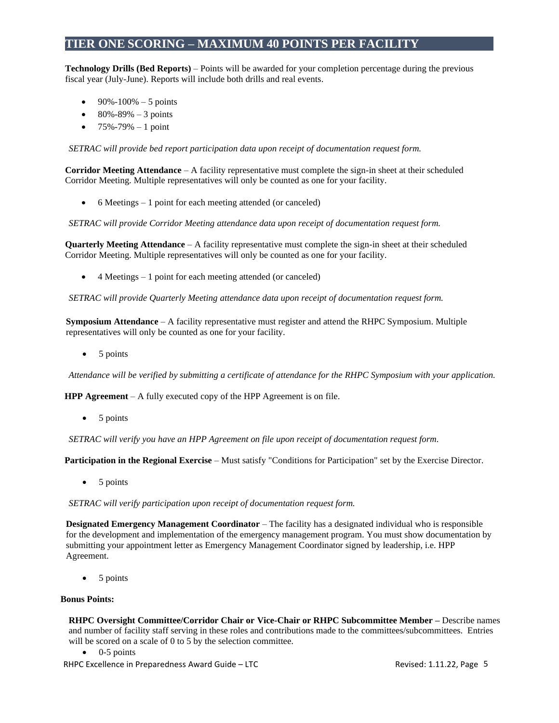### **TIER ONE SCORING – MAXIMUM 40 POINTS PER FACILITY**

**Technology Drills (Bed Reports)** – Points will be awarded for your completion percentage during the previous fiscal year (July-June). Reports will include both drills and real events.

- $90\% 100\% 5$  points
- $80\% 89\% 3$  points
- $75\% 79\% 1$  point

*SETRAC will provide bed report participation data upon receipt of documentation request form.*

**Corridor Meeting Attendance** – A facility representative must complete the sign-in sheet at their scheduled Corridor Meeting. Multiple representatives will only be counted as one for your facility.

• 6 Meetings – 1 point for each meeting attended (or canceled)

*SETRAC will provide Corridor Meeting attendance data upon receipt of documentation request form.*

**Quarterly Meeting Attendance** – A facility representative must complete the sign-in sheet at their scheduled Corridor Meeting. Multiple representatives will only be counted as one for your facility.

• 4 Meetings – 1 point for each meeting attended (or canceled)

*SETRAC will provide Quarterly Meeting attendance data upon receipt of documentation request form.*

**Symposium Attendance** – A facility representative must register and attend the RHPC Symposium. Multiple representatives will only be counted as one for your facility.

• 5 points

*Attendance will be verified by submitting a certificate of attendance for the RHPC Symposium with your application.*

**HPP Agreement** – A fully executed copy of the HPP Agreement is on file.

• 5 points

*SETRAC will verify you have an HPP Agreement on file upon receipt of documentation request form.*

**Participation in the Regional Exercise** – Must satisfy "Conditions for Participation" set by the Exercise Director.

• 5 points

*SETRAC will verify participation upon receipt of documentation request form.*

**Designated Emergency Management Coordinator** – The facility has a designated individual who is responsible for the development and implementation of the emergency management program. You must show documentation by submitting your appointment letter as Emergency Management Coordinator signed by leadership, i.e. HPP Agreement.

• 5 points

#### **Bonus Points:**

**RHPC Oversight Committee/Corridor Chair or Vice-Chair or RHPC Subcommittee Member –** Describe names and number of facility staff serving in these roles and contributions made to the committees/subcommittees. Entries will be scored on a scale of 0 to 5 by the selection committee.

- $\bullet$  0-5 points
- RHPC Excellence in Preparedness Award Guide LTC **Revised: 1.11.22, Page 5**